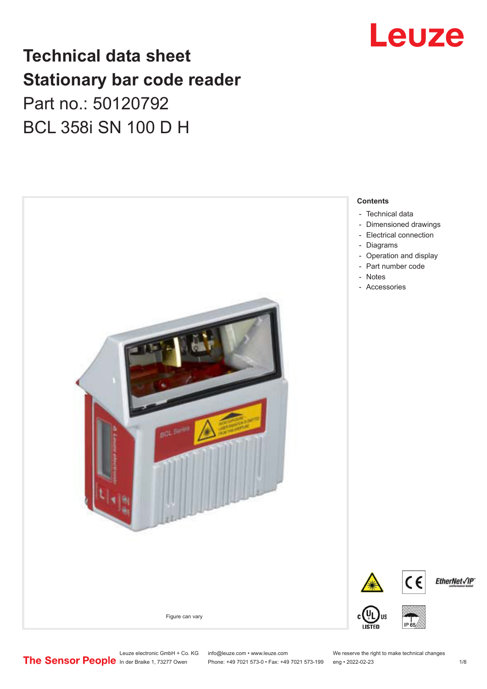## **Technical data sheet Stationary bar code reader** Part no.: 50120792 BCL 358i SN 100 D H



## Leuze

**Contents**

- [Dimensioned drawings](#page-2-0)
- [Electrical connection](#page-3-0)
- [Operation and display](#page-3-0)

Leuze electronic GmbH + Co. KG info@leuze.com • www.leuze.com We reserve the right to make technical changes<br>
The Sensor People in der Braike 1, 73277 Owen Phone: +49 7021 573-0 • Fax: +49 7021 573-199 eng • 2022-02-23 Phone: +49 7021 573-0 • Fax: +49 7021 573-199 eng • 2022-02-23 1 /8

EtherNet√IP®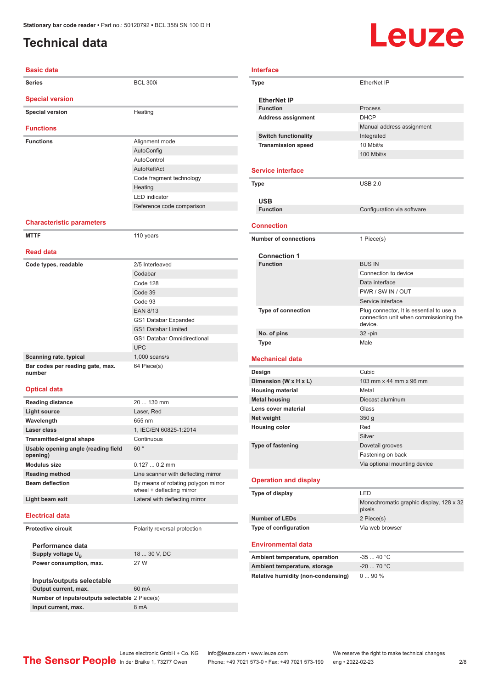### <span id="page-1-0"></span>**Technical data**

# Leuze

| <b>Basic data</b>                               |                                    |
|-------------------------------------------------|------------------------------------|
| <b>Series</b>                                   | <b>BCL 300i</b>                    |
| <b>Special version</b>                          |                                    |
| <b>Special version</b>                          | Heating                            |
| <b>Functions</b>                                |                                    |
| <b>Functions</b>                                | Alignment mode                     |
|                                                 | AutoConfig                         |
|                                                 | AutoControl                        |
|                                                 | AutoReflAct                        |
|                                                 | Code fragment technology           |
|                                                 | Heating                            |
|                                                 | <b>LED</b> indicator               |
|                                                 | Reference code comparison          |
| <b>Characteristic parameters</b>                |                                    |
| <b>MTTF</b>                                     | 110 years                          |
|                                                 |                                    |
| <b>Read data</b>                                |                                    |
| Code types, readable                            | 2/5 Interleaved                    |
|                                                 | Codabar                            |
|                                                 | Code 128                           |
|                                                 | Code 39                            |
|                                                 | Code 93                            |
|                                                 | <b>EAN 8/13</b>                    |
|                                                 | GS1 Databar Expanded               |
|                                                 | <b>GS1 Databar Limited</b>         |
|                                                 | <b>GS1 Databar Omnidirectional</b> |
|                                                 | <b>UPC</b>                         |
| Scanning rate, typical                          | $1,000$ scans/s                    |
| Bar codes per reading gate, max.<br>number      | 64 Piece(s)                        |
| <b>Optical data</b>                             |                                    |
| <b>Reading distance</b>                         | 20  130 mm                         |
| <b>Light source</b>                             | Laser, Red                         |
| Wavelength                                      | 655 nm                             |
| <b>Laser class</b>                              | 1, IEC/EN 60825-1:2014             |
| <b>Transmitted-signal shape</b>                 | Continuous                         |
| Usable opening angle (reading field<br>opening) | 60°                                |
| <b>Modulus size</b>                             | $0.1270.2$ mm                      |

#### **Reading method** Line scanner with deflecting mirror **Beam deflection By means of rotating polygon mirror** wheel + deflecting mirror Light beam exit<br>
Lateral with deflecting mirror

#### **Electrical data**

**Protective circuit** Polarity reversal protection

**Performance data Supply voltage U<sub>B</sub>** 18 ... 30 V, DC **Power consumption, max.** 27 W

| Inputs/outputs selectable                      |       |
|------------------------------------------------|-------|
| Output current, max.                           | 60 mA |
| Number of inputs/outputs selectable 2 Piece(s) |       |
| Input current, max.                            | 8 mA  |

| Type                         | EtherNet IP                                                                                   |
|------------------------------|-----------------------------------------------------------------------------------------------|
| <b>EtherNet IP</b>           |                                                                                               |
| <b>Function</b>              | Process                                                                                       |
| <b>Address assignment</b>    | <b>DHCP</b>                                                                                   |
|                              | Manual address assignment                                                                     |
| <b>Switch functionality</b>  | Integrated                                                                                    |
| <b>Transmission speed</b>    | 10 Mbit/s                                                                                     |
|                              | 100 Mbit/s                                                                                    |
| <b>Service interface</b>     |                                                                                               |
| Type                         | <b>USB 2.0</b>                                                                                |
| <b>USB</b>                   |                                                                                               |
| <b>Function</b>              | Configuration via software                                                                    |
| <b>Connection</b>            |                                                                                               |
| <b>Number of connections</b> | 1 Piece(s)                                                                                    |
| <b>Connection 1</b>          |                                                                                               |
| <b>Function</b>              | <b>BUS IN</b>                                                                                 |
|                              | Connection to device                                                                          |
|                              | Data interface                                                                                |
|                              | PWR / SW IN / OUT                                                                             |
|                              | Service interface                                                                             |
| Type of connection           | Plug connector, It is essential to use a<br>connection unit when commissioning the<br>device. |
| No. of pins                  | $32 - pin$                                                                                    |
| Type                         | Male                                                                                          |
| <b>Mechanical data</b>       |                                                                                               |
| Design                       | Cubic                                                                                         |
| Dimension (W x H x L)        | 103 mm x 44 mm x 96 mm                                                                        |
| <b>Housing material</b>      | Metal                                                                                         |
| <b>Metal housing</b>         | Diecast aluminum                                                                              |
| Lens cover material          | Glass                                                                                         |
| Net weight                   | 350 <sub>g</sub>                                                                              |
| <b>Housing color</b>         | Red                                                                                           |
|                              | Silver                                                                                        |
| Type of fastening            | Dovetail grooves                                                                              |
|                              | Fastening on back                                                                             |
|                              | Via optional mounting device                                                                  |

#### **Operation and display**

| Type of display              | I FD                                              |
|------------------------------|---------------------------------------------------|
|                              | Monochromatic graphic display, 128 x 32<br>pixels |
| <b>Number of LEDs</b>        | 2 Piece(s)                                        |
| <b>Type of configuration</b> | Via web browser                                   |

#### **Environmental data**

| Ambient temperature, operation     | -35  40 °C  |
|------------------------------------|-------------|
| Ambient temperature, storage       | $-20$ 70 °C |
| Relative humidity (non-condensing) | $090\%$     |

Leuze electronic GmbH + Co. KG info@leuze.com • www.leuze.com We reserve the right to make technical changes<br> **The Sensor People** in der Braike 1, 73277 Owen Phone: +49 7021 573-0 • Fax: +49 7021 573-199 eng • 2022-02-23 Phone: +49 7021 573-0 • Fax: +49 7021 573-199 eng • 2022-02-23 2/8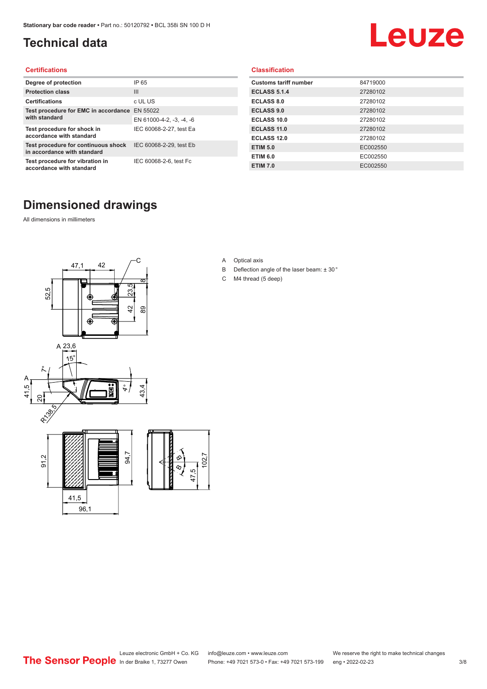### <span id="page-2-0"></span>**Technical data**

## Leuze

#### **Certifications**

| Degree of protection                                               | IP 65                    |
|--------------------------------------------------------------------|--------------------------|
| <b>Protection class</b>                                            | $\mathbf{III}$           |
| <b>Certifications</b>                                              | c UL US                  |
| Test procedure for EMC in accordance                               | EN 55022                 |
| with standard                                                      | EN 61000-4-2, -3, -4, -6 |
| Test procedure for shock in<br>accordance with standard            | IEC 60068-2-27, test Ea  |
| Test procedure for continuous shock<br>in accordance with standard | IEC 60068-2-29, test Eb  |
| Test procedure for vibration in<br>accordance with standard        | IEC 60068-2-6, test Fc   |

#### **Classification**

| <b>Customs tariff number</b> | 84719000 |
|------------------------------|----------|
| <b>ECLASS 5.1.4</b>          | 27280102 |
| <b>ECLASS 8.0</b>            | 27280102 |
| <b>ECLASS 9.0</b>            | 27280102 |
| ECLASS 10.0                  | 27280102 |
| <b>ECLASS 11.0</b>           | 27280102 |
| ECLASS 12.0                  | 27280102 |
| <b>ETIM 5.0</b>              | EC002550 |
| <b>ETIM 6.0</b>              | EC002550 |
| <b>ETIM 7.0</b>              | EC002550 |

### **Dimensioned drawings**

All dimensions in millimeters



#### A Optical axis

- B Deflection angle of the laser beam: ± 30 °
- C M4 thread (5 deep)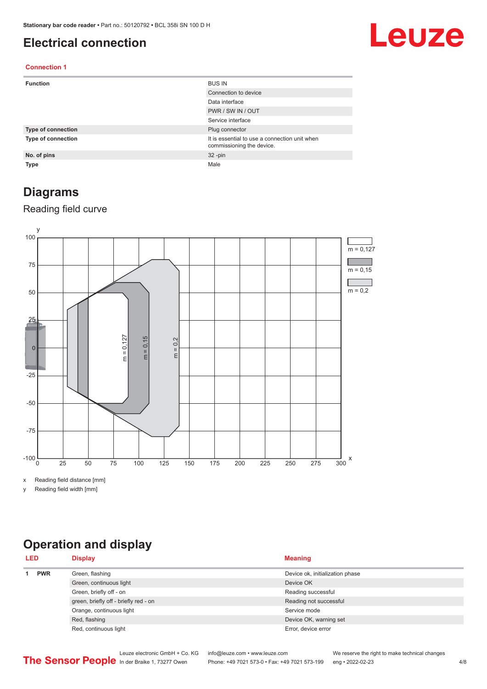#### <span id="page-3-0"></span>**Electrical connection**

## Leuze

#### **Connection 1**

| <b>Function</b>           | <b>BUS IN</b>                                                              |
|---------------------------|----------------------------------------------------------------------------|
|                           | Connection to device                                                       |
|                           | Data interface                                                             |
|                           | PWR / SW IN / OUT                                                          |
|                           | Service interface                                                          |
| Type of connection        | Plug connector                                                             |
| <b>Type of connection</b> | It is essential to use a connection unit when<br>commissioning the device. |
| No. of pins               | $32 - pin$                                                                 |
| <b>Type</b>               | Male                                                                       |

#### **Diagrams**

#### Reading field curve



x Reading field distance [mm]

y Reading field width [mm]

## **Operation and display**

| <b>LED</b> |            | <b>Display</b>                        | <b>Meaning</b>                  |
|------------|------------|---------------------------------------|---------------------------------|
|            | <b>PWR</b> | Green, flashing                       | Device ok, initialization phase |
|            |            | Green, continuous light               | Device OK                       |
|            |            | Green, briefly off - on               | Reading successful              |
|            |            | green, briefly off - briefly red - on | Reading not successful          |
|            |            | Orange, continuous light              | Service mode                    |
|            |            | Red, flashing                         | Device OK, warning set          |
|            |            | Red, continuous light                 | Error, device error             |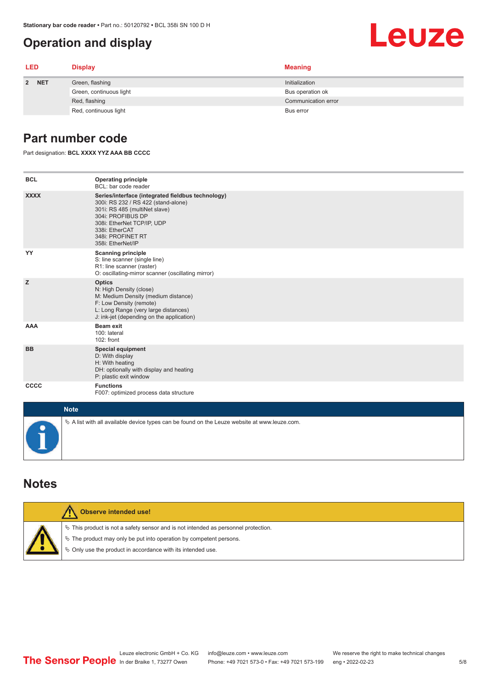#### <span id="page-4-0"></span>**Operation and display**

| <b>LED</b> | <b>Display</b>          | <b>Meaning</b>      |
|------------|-------------------------|---------------------|
| 2 NET      | Green, flashing         | Initialization      |
|            | Green, continuous light | Bus operation ok    |
|            | Red, flashing           | Communication error |
|            | Red, continuous light   | Bus error           |

#### **Part number code**

Part designation: **BCL XXXX YYZ AAA BB CCCC**

| <b>BCL</b>  | <b>Operating principle</b><br>BCL: bar code reader                                                                                                                                                                                       |
|-------------|------------------------------------------------------------------------------------------------------------------------------------------------------------------------------------------------------------------------------------------|
| <b>XXXX</b> | Series/interface (integrated fieldbus technology)<br>300i: RS 232 / RS 422 (stand-alone)<br>301i: RS 485 (multiNet slave)<br>304i: PROFIBUS DP<br>308i: EtherNet TCP/IP, UDP<br>338i: EtherCAT<br>348i: PROFINET RT<br>358i: EtherNet/IP |
| YY          | <b>Scanning principle</b><br>S: line scanner (single line)<br>R1: line scanner (raster)<br>O: oscillating-mirror scanner (oscillating mirror)                                                                                            |
| z           | <b>Optics</b><br>N: High Density (close)<br>M: Medium Density (medium distance)<br>F: Low Density (remote)<br>L: Long Range (very large distances)<br>J: ink-jet (depending on the application)                                          |
| <b>AAA</b>  | <b>Beam exit</b><br>100: lateral<br>$102:$ front                                                                                                                                                                                         |
| <b>BB</b>   | <b>Special equipment</b><br>D: With display<br>H: With heating<br>DH: optionally with display and heating<br>P: plastic exit window                                                                                                      |
| CCCC        | <b>Functions</b><br>F007: optimized process data structure                                                                                                                                                                               |
| <b>Note</b> |                                                                                                                                                                                                                                          |
|             | $\&$ A list with all available device types can be found on the Leuze website at www.leuze.com.                                                                                                                                          |

#### **Notes**

| Observe intended use!                                                                                                                                                                                                      |
|----------------------------------------------------------------------------------------------------------------------------------------------------------------------------------------------------------------------------|
| $\%$ This product is not a safety sensor and is not intended as personnel protection.<br>§ The product may only be put into operation by competent persons.<br>§ Only use the product in accordance with its intended use. |

**Leuze**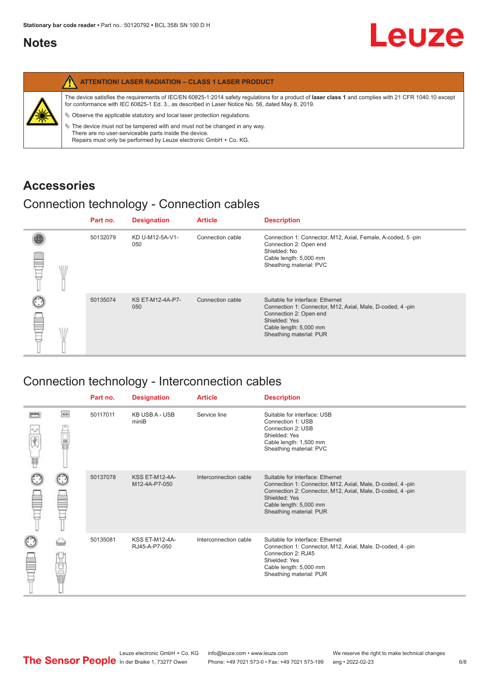#### <span id="page-5-0"></span>**Notes**

|   | <b>ATTENTION! LASER RADIATION - CLASS 1 LASER PRODUCT</b>                                                                                                                                                                                                  |
|---|------------------------------------------------------------------------------------------------------------------------------------------------------------------------------------------------------------------------------------------------------------|
| 纂 | The device satisfies the requirements of IEC/EN 60825-1:2014 safety requlations for a product of laser class 1 and complies with 21 CFR 1040.10 except<br>for conformance with IEC 60825-1 Ed. 3., as described in Laser Notice No. 56, dated May 8, 2019. |
|   | $\&$ Observe the applicable statutory and local laser protection regulations.                                                                                                                                                                              |
|   | $\%$ The device must not be tampered with and must not be changed in any way.<br>There are no user-serviceable parts inside the device.<br>Repairs must only be performed by Leuze electronic GmbH + Co. KG.                                               |

#### **Accessories**

### Connection technology - Connection cables

|   |   | Part no. | <b>Designation</b>             | <b>Article</b>   | <b>Description</b>                                                                                                                                                                            |
|---|---|----------|--------------------------------|------------------|-----------------------------------------------------------------------------------------------------------------------------------------------------------------------------------------------|
| ≝ | W | 50132079 | KD U-M12-5A-V1-<br>050         | Connection cable | Connection 1: Connector, M12, Axial, Female, A-coded, 5-pin<br>Connection 2: Open end<br>Shielded: No<br>Cable length: 5,000 mm<br>Sheathing material: PVC                                    |
|   |   | 50135074 | <b>KS ET-M12-4A-P7-</b><br>050 | Connection cable | Suitable for interface: Ethernet<br>Connection 1: Connector, M12, Axial, Male, D-coded, 4-pin<br>Connection 2: Open end<br>Shielded: Yes<br>Cable length: 5,000 mm<br>Sheathing material: PUR |

### Connection technology - Interconnection cables

|                           |                                                                                                                                                                                                                                | Part no. | <b>Designation</b>                     | <b>Article</b>        | <b>Description</b>                                                                                                                                                                                                               |
|---------------------------|--------------------------------------------------------------------------------------------------------------------------------------------------------------------------------------------------------------------------------|----------|----------------------------------------|-----------------------|----------------------------------------------------------------------------------------------------------------------------------------------------------------------------------------------------------------------------------|
| $\frac{1}{\sqrt{2}}$<br>Ħ | $\Box$                                                                                                                                                                                                                         | 50117011 | <b>KB USB A - USB</b><br>miniB         | Service line          | Suitable for interface: USB<br>Connection 1: USB<br>Connection 2: USB<br>Shielded: Yes<br>Cable length: 1,500 mm<br>Sheathing material: PVC                                                                                      |
|                           |                                                                                                                                                                                                                                | 50137078 | <b>KSS ET-M12-4A-</b><br>M12-4A-P7-050 | Interconnection cable | Suitable for interface: Ethernet<br>Connection 1: Connector, M12, Axial, Male, D-coded, 4-pin<br>Connection 2: Connector, M12, Axial, Male, D-coded, 4-pin<br>Shielded: Yes<br>Cable length: 5,000 mm<br>Sheathing material: PUR |
|                           | the filled the control in the control in the control in the control in the control in the control in the control in the control in the control in the control in the control in the control in the control in the control in t | 50135081 | <b>KSS ET-M12-4A-</b><br>RJ45-A-P7-050 | Interconnection cable | Suitable for interface: Ethernet<br>Connection 1: Connector, M12, Axial, Male, D-coded, 4-pin<br>Connection 2: RJ45<br>Shielded: Yes<br>Cable length: 5,000 mm<br>Sheathing material: PUR                                        |

Leuze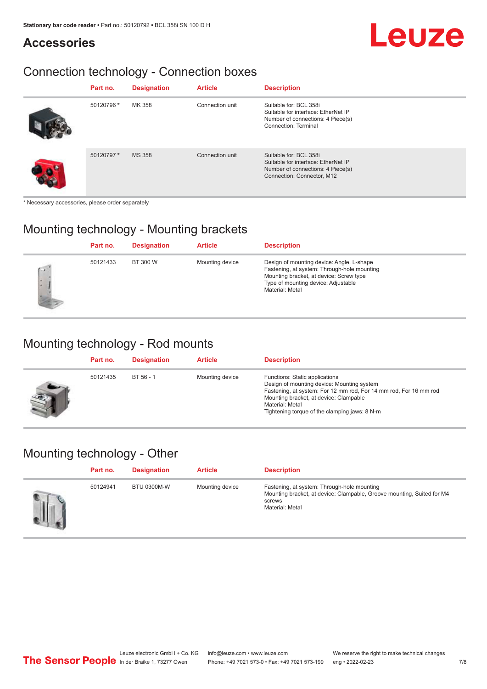## Leuze

#### **Accessories**

## Connection technology - Connection boxes

| Part no.   | <b>Designation</b> | <b>Article</b>  | <b>Description</b>                                                                                                               |
|------------|--------------------|-----------------|----------------------------------------------------------------------------------------------------------------------------------|
| 50120796 * | MK 358             | Connection unit | Suitable for: BCL 358i<br>Suitable for interface: EtherNet IP<br>Number of connections: 4 Piece(s)<br>Connection: Terminal       |
| 50120797*  | <b>MS 358</b>      | Connection unit | Suitable for: BCL 358i<br>Suitable for interface: EtherNet IP<br>Number of connections: 4 Piece(s)<br>Connection: Connector, M12 |

\* Necessary accessories, please order separately

### Mounting technology - Mounting brackets

|               | Part no. | <b>Designation</b> | <b>Article</b>  | <b>Description</b>                                                                                                                                                                            |
|---------------|----------|--------------------|-----------------|-----------------------------------------------------------------------------------------------------------------------------------------------------------------------------------------------|
| $\rightarrow$ | 50121433 | BT 300 W           | Mounting device | Design of mounting device: Angle, L-shape<br>Fastening, at system: Through-hole mounting<br>Mounting bracket, at device: Screw type<br>Type of mounting device: Adjustable<br>Material: Metal |

#### Mounting technology - Rod mounts

| Part no. | <b>Designation</b> | <b>Article</b>  | <b>Description</b>                                                                                                                                                                                                                                                |
|----------|--------------------|-----------------|-------------------------------------------------------------------------------------------------------------------------------------------------------------------------------------------------------------------------------------------------------------------|
| 50121435 | BT 56 - 1          | Mounting device | Functions: Static applications<br>Design of mounting device: Mounting system<br>Fastening, at system: For 12 mm rod, For 14 mm rod, For 16 mm rod<br>Mounting bracket, at device: Clampable<br>Material: Metal<br>Tightening torque of the clamping jaws: $8 N·m$ |

#### Mounting technology - Other

| Part no. | <b>Designation</b> | <b>Article</b>  | <b>Description</b>                                                                                                                                 |
|----------|--------------------|-----------------|----------------------------------------------------------------------------------------------------------------------------------------------------|
| 50124941 | <b>BTU 0300M-W</b> | Mounting device | Fastening, at system: Through-hole mounting<br>Mounting bracket, at device: Clampable, Groove mounting, Suited for M4<br>screws<br>Material: Metal |